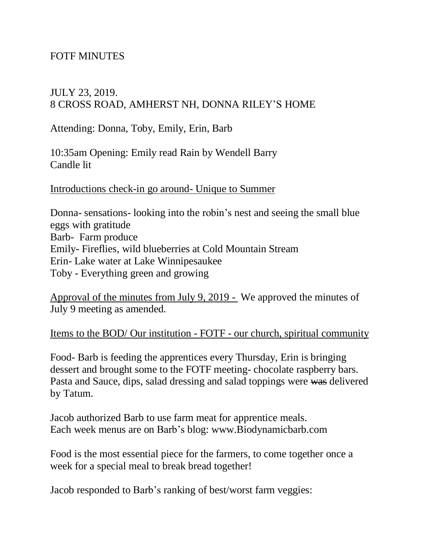# FOTF MINUTES

### JULY 23, 2019. 8 CROSS ROAD, AMHERST NH, DONNA RILEY'S HOME

Attending: Donna, Toby, Emily, Erin, Barb

10:35am Opening: Emily read Rain by Wendell Barry Candle lit

Introductions check-in go around- Unique to Summer

Donna- sensations- looking into the robin's nest and seeing the small blue eggs with gratitude Barb- Farm produce Emily- Fireflies, wild blueberries at Cold Mountain Stream Erin- Lake water at Lake Winnipesaukee Toby - Everything green and growing

Approval of the minutes from July 9, 2019 - We approved the minutes of July 9 meeting as amended.

Items to the BOD/ Our institution - FOTF - our church, spiritual community

Food- Barb is feeding the apprentices every Thursday, Erin is bringing dessert and brought some to the FOTF meeting- chocolate raspberry bars. Pasta and Sauce, dips, salad dressing and salad toppings were was delivered by Tatum.

Jacob authorized Barb to use farm meat for apprentice meals. Each week menus are on Barb's blog: www.Biodynamicbarb.com

Food is the most essential piece for the farmers, to come together once a week for a special meal to break bread together!

Jacob responded to Barb's ranking of best/worst farm veggies: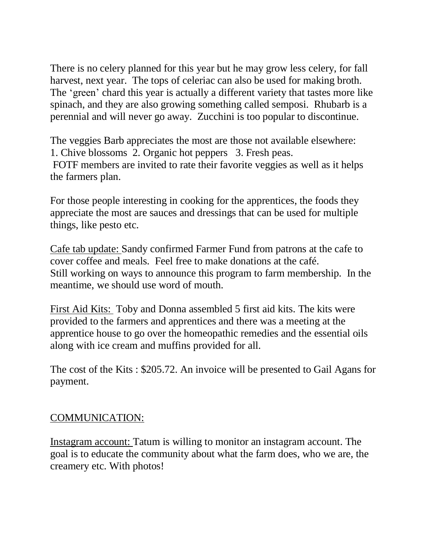There is no celery planned for this year but he may grow less celery, for fall harvest, next year. The tops of celeriac can also be used for making broth. The 'green' chard this year is actually a different variety that tastes more like spinach, and they are also growing something called semposi. Rhubarb is a perennial and will never go away. Zucchini is too popular to discontinue.

The veggies Barb appreciates the most are those not available elsewhere: 1. Chive blossoms 2. Organic hot peppers 3. Fresh peas. FOTF members are invited to rate their favorite veggies as well as it helps the farmers plan.

For those people interesting in cooking for the apprentices, the foods they appreciate the most are sauces and dressings that can be used for multiple things, like pesto etc.

Cafe tab update: Sandy confirmed Farmer Fund from patrons at the cafe to cover coffee and meals. Feel free to make donations at the café. Still working on ways to announce this program to farm membership. In the meantime, we should use word of mouth.

First Aid Kits: Toby and Donna assembled 5 first aid kits. The kits were provided to the farmers and apprentices and there was a meeting at the apprentice house to go over the homeopathic remedies and the essential oils along with ice cream and muffins provided for all.

The cost of the Kits : \$205.72. An invoice will be presented to Gail Agans for payment.

# COMMUNICATION:

Instagram account: Tatum is willing to monitor an instagram account. The goal is to educate the community about what the farm does, who we are, the creamery etc. With photos!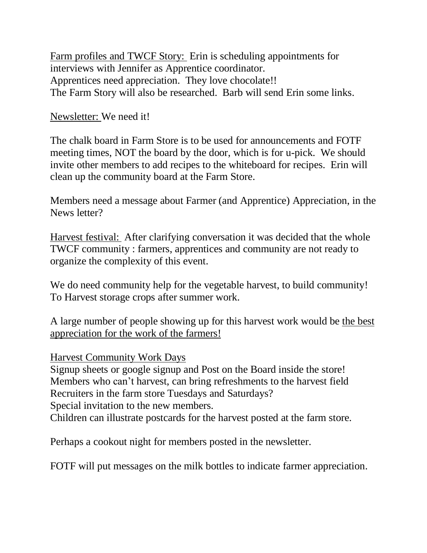Farm profiles and TWCF Story: Erin is scheduling appointments for interviews with Jennifer as Apprentice coordinator. Apprentices need appreciation. They love chocolate!! The Farm Story will also be researched. Barb will send Erin some links.

# Newsletter: We need it!

The chalk board in Farm Store is to be used for announcements and FOTF meeting times, NOT the board by the door, which is for u-pick. We should invite other members to add recipes to the whiteboard for recipes. Erin will clean up the community board at the Farm Store.

Members need a message about Farmer (and Apprentice) Appreciation, in the News letter?

Harvest festival: After clarifying conversation it was decided that the whole TWCF community : farmers, apprentices and community are not ready to organize the complexity of this event.

We do need community help for the vegetable harvest, to build community! To Harvest storage crops after summer work.

A large number of people showing up for this harvest work would be the best appreciation for the work of the farmers!

Harvest Community Work Days

Signup sheets or google signup and Post on the Board inside the store! Members who can't harvest, can bring refreshments to the harvest field Recruiters in the farm store Tuesdays and Saturdays?

Special invitation to the new members.

Children can illustrate postcards for the harvest posted at the farm store.

Perhaps a cookout night for members posted in the newsletter.

FOTF will put messages on the milk bottles to indicate farmer appreciation.